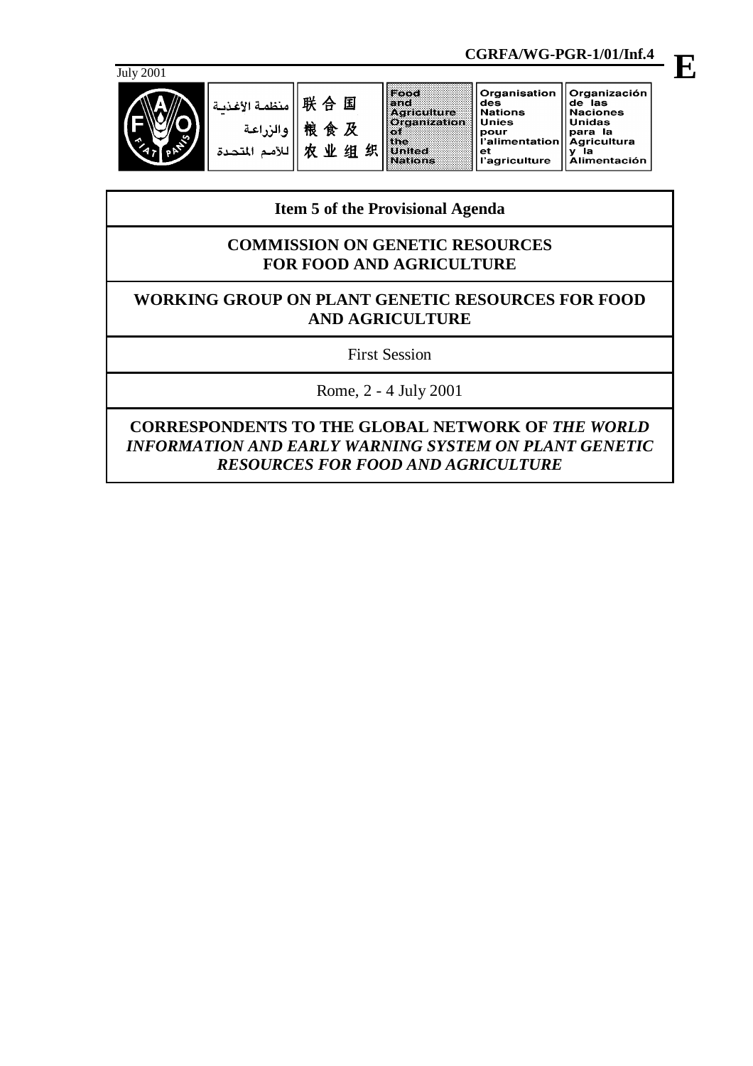

# **CGRFA/WG-PGR-1/01/Inf.4** July 2001 **E**

| منظمة الأغذسة<br>والزراعة<br>لمتحدة | 联 合 国<br>粮食及<br>₩ | 织 | Food<br><b>Agriculture</b><br><b>Organization</b>  <br>mited | Organisation<br>des<br><b>Nations</b><br><b>Unies</b><br>pour<br>l'alimentation<br>et | Organización<br>de las<br><b>Naciones</b><br><b>Unidas</b><br>para la<br><b>Agricultura</b> |
|-------------------------------------|-------------------|---|--------------------------------------------------------------|---------------------------------------------------------------------------------------|---------------------------------------------------------------------------------------------|
|                                     |                   |   |                                                              | l'agriculture                                                                         | Alimentación                                                                                |

# **Item 5 of the Provisional Agenda**

# **COMMISSION ON GENETIC RESOURCES FOR FOOD AND AGRICULTURE**

# **WORKING GROUP ON PLANT GENETIC RESOURCES FOR FOOD AND AGRICULTURE**

First Session

Rome, 2 - 4 July 2001

**CORRESPONDENTS TO THE GLOBAL NETWORK OF** *THE WORLD INFORMATION AND EARLY WARNING SYSTEM ON PLANT GENETIC RESOURCES FOR FOOD AND AGRICULTURE*

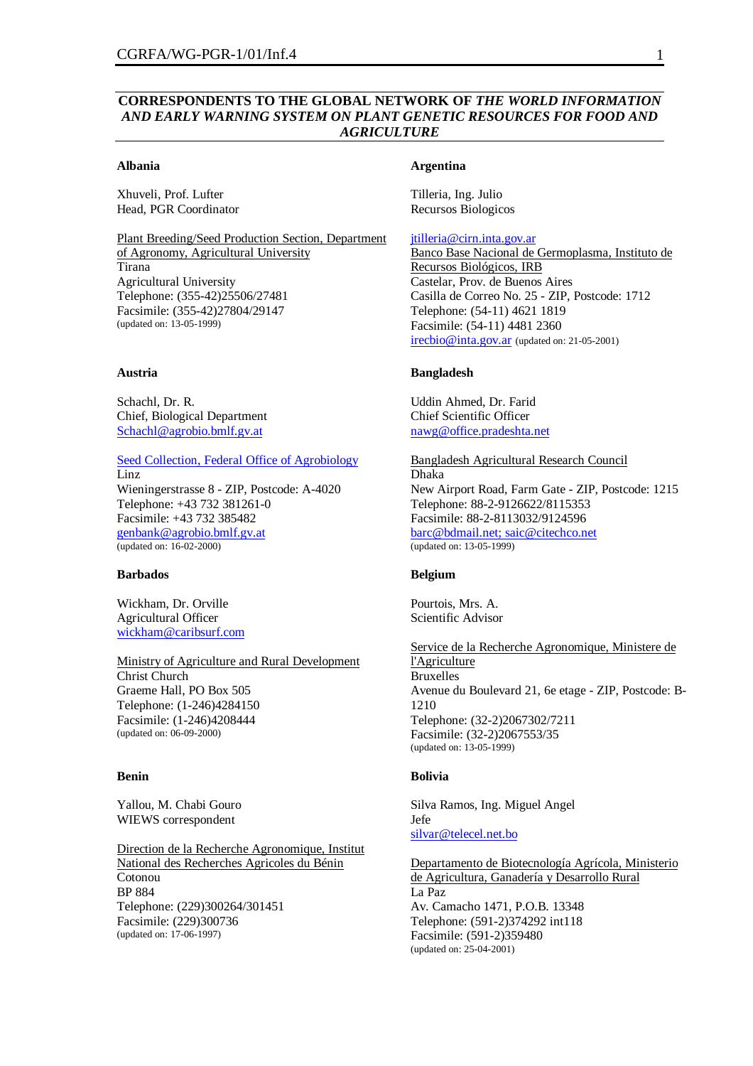# **CORRESPONDENTS TO THE GLOBAL NETWORK OF** *THE WORLD INFORMATION AND EARLY WARNING SYSTEM ON PLANT GENETIC RESOURCES FOR FOOD AND AGRICULTURE*

## **Albania**

Xhuveli, Prof. Lufter Head, PGR Coordinator

Plant Breeding/Seed Production Section, Department of Agronomy, Agricultural University Tirana Agricultural University Telephone: (355-42)25506/27481 Facsimile: (355-42)27804/29147 (updated on: 13-05-1999)

#### **Austria**

Schachl, Dr. R. Chief, Biological Department Schachl@agrobio.bmlf.gv.at

Seed Collection, Federal Office of Agrobiology Linz Wieningerstrasse 8 - ZIP, Postcode: A-4020 Telephone: +43 732 381261-0 Facsimile: +43 732 385482 genbank@agrobio.bmlf.gv.at (updated on: 16-02-2000)

# **Barbados**

Wickham, Dr. Orville Agricultural Officer wickham@caribsurf.com

Ministry of Agriculture and Rural Development Christ Church Graeme Hall, PO Box 505 Telephone: (1-246)4284150 Facsimile: (1-246)4208444 (updated on: 06-09-2000)

## **Benin**

Yallou, M. Chabi Gouro WIEWS correspondent

Direction de la Recherche Agronomique, Institut National des Recherches Agricoles du Bénin Cotonou BP 884 Telephone: (229)300264/301451 Facsimile: (229)300736 (updated on: 17-06-1997)

#### **Argentina**

Tilleria, Ing. Julio Recursos Biologicos

jtilleria@cirn.inta.gov.ar Banco Base Nacional de Germoplasma, Instituto de Recursos Biológicos, IRB Castelar, Prov. de Buenos Aires Casilla de Correo No. 25 - ZIP, Postcode: 1712 Telephone: (54-11) 4621 1819 Facsimile: (54-11) 4481 2360 irecbio@inta.gov.ar (updated on: 21-05-2001)

#### **Bangladesh**

Uddin Ahmed, Dr. Farid Chief Scientific Officer nawg@office.pradeshta.net

Bangladesh Agricultural Research Council Dhaka New Airport Road, Farm Gate - ZIP, Postcode: 1215 Telephone: 88-2-9126622/8115353 Facsimile: 88-2-8113032/9124596 barc@bdmail.net; saic@citechco.net (updated on: 13-05-1999)

#### **Belgium**

Pourtois, Mrs. A. Scientific Advisor

Service de la Recherche Agronomique, Ministere de l'Agriculture Bruxelles Avenue du Boulevard 21, 6e etage - ZIP, Postcode: B-1210 Telephone: (32-2)2067302/7211 Facsimile: (32-2)2067553/35 (updated on: 13-05-1999)

# **Bolivia**

Silva Ramos, Ing. Miguel Angel Jefe silvar@telecel.net.bo

Departamento de Biotecnología Agrícola, Ministerio de Agricultura, Ganadería y Desarrollo Rural La Paz Av. Camacho 1471, P.O.B. 13348 Telephone: (591-2)374292 int118 Facsimile: (591-2)359480 (updated on: 25-04-2001)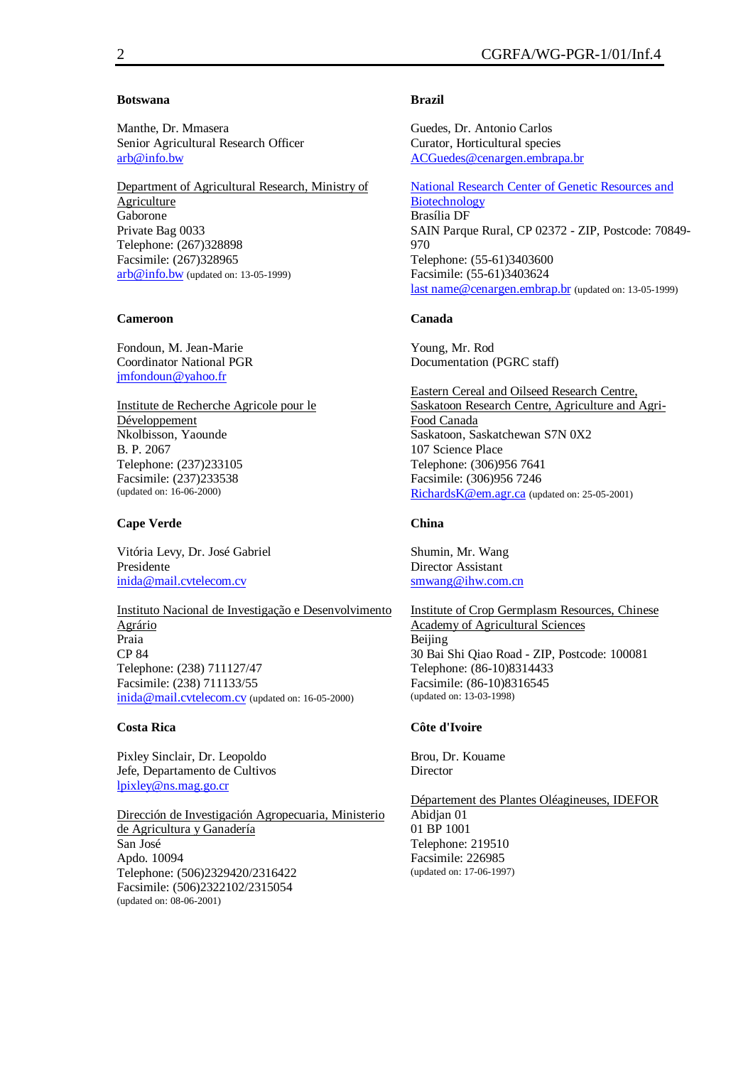#### **Botswana**

Manthe, Dr. Mmasera Senior Agricultural Research Officer arb@info.bw

Department of Agricultural Research, Ministry of Agriculture Gaborone Private Bag 0033 Telephone: (267)328898 Facsimile: (267)328965 arb@info.bw (updated on: 13-05-1999)

#### **Cameroon**

Fondoun, M. Jean-Marie Coordinator National PGR jmfondoun@yahoo.fr

Institute de Recherche Agricole pour le Développement Nkolbisson, Yaounde B. P. 2067 Telephone: (237)233105 Facsimile: (237)233538 (updated on: 16-06-2000)

# **Cape Verde**

Vitória Levy, Dr. José Gabriel Presidente inida@mail.cvtelecom.cv

# Instituto Nacional de Investigação e Desenvolvimento

Agrário Praia CP 84 Telephone: (238) 711127/47 Facsimile: (238) 711133/55 inida@mail.cvtelecom.cv (updated on: 16-05-2000)

#### **Costa Rica**

Pixley Sinclair, Dr. Leopoldo Jefe, Departamento de Cultivos lpixley@ns.mag.go.cr

Dirección de Investigación Agropecuaria, Ministerio de Agricultura y Ganadería San José Apdo. 10094 Telephone: (506)2329420/2316422 Facsimile: (506)2322102/2315054 (updated on: 08-06-2001)

#### **Brazil**

Guedes, Dr. Antonio Carlos Curator, Horticultural species ACGuedes@cenargen.embrapa.br

National Research Center of Genetic Resources and Biotechnology Brasília DF SAIN Parque Rural, CP 02372 - ZIP, Postcode: 70849- 970 Telephone: (55-61)3403600 Facsimile: (55-61)3403624 last name@cenargen.embrap.br (updated on: 13-05-1999)

#### **Canada**

Young, Mr. Rod Documentation (PGRC staff)

Eastern Cereal and Oilseed Research Centre, Saskatoon Research Centre, Agriculture and Agri-Food Canada Saskatoon, Saskatchewan S7N 0X2 107 Science Place Telephone: (306)956 7641 Facsimile: (306)956 7246 RichardsK@em.agr.ca (updated on: 25-05-2001)

# **China**

Shumin, Mr. Wang Director Assistant smwang@ihw.com.cn

Institute of Crop Germplasm Resources, Chinese Academy of Agricultural Sciences Beijing 30 Bai Shi Qiao Road - ZIP, Postcode: 100081 Telephone: (86-10)8314433 Facsimile: (86-10)8316545 (updated on: 13-03-1998)

#### **Côte d'Ivoire**

Brou, Dr. Kouame Director

Département des Plantes Oléagineuses, IDEFOR Abidjan 01 01 BP 1001 Telephone: 219510 Facsimile: 226985 (updated on: 17-06-1997)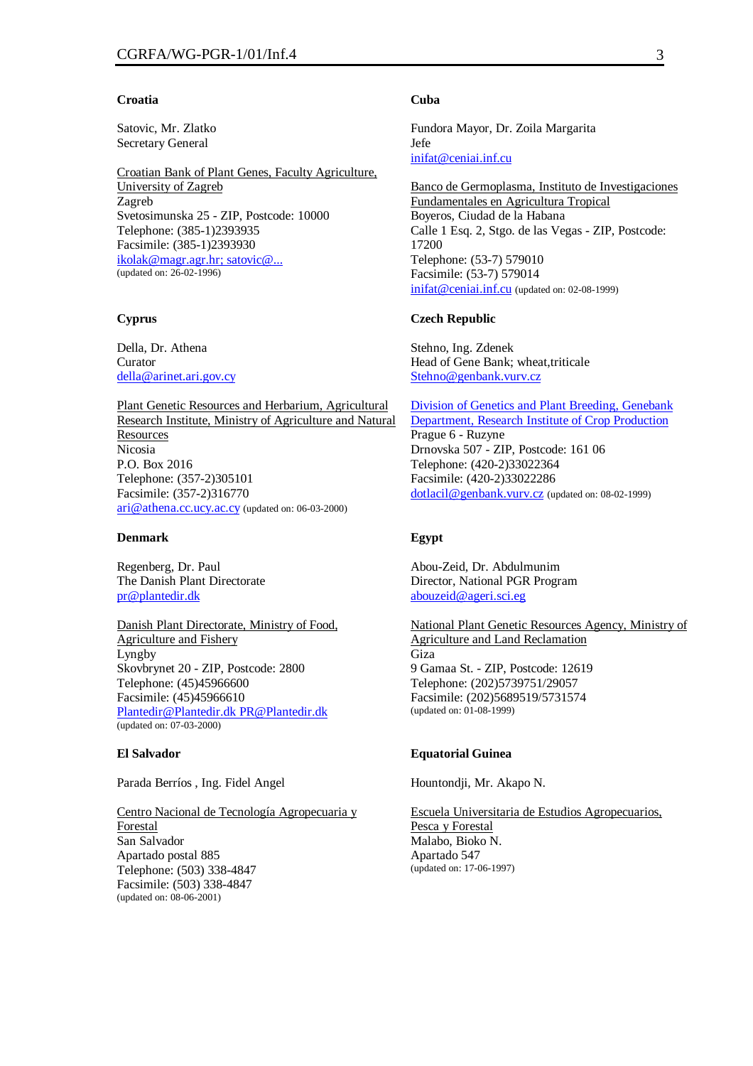#### **Croatia**

Satovic, Mr. Zlatko Secretary General

Croatian Bank of Plant Genes, Faculty Agriculture, University of Zagreb Zagreb Svetosimunska 25 - ZIP, Postcode: 10000 Telephone: (385-1)2393935 Facsimile: (385-1)2393930 ikolak@magr.agr.hr; satovic@... (updated on: 26-02-1996)

#### **Cyprus**

Della, Dr. Athena Curator della@arinet.ari.gov.cy

Plant Genetic Resources and Herbarium, Agricultural Research Institute, Ministry of Agriculture and Natural **Resources** Nicosia P.O. Box 2016 Telephone: (357-2)305101 Facsimile: (357-2)316770 ari@athena.cc.ucy.ac.cy (updated on: 06-03-2000)

#### **Denmark**

Regenberg, Dr. Paul The Danish Plant Directorate pr@plantedir.dk

Danish Plant Directorate, Ministry of Food, Agriculture and Fishery Lyngby Skovbrynet 20 - ZIP, Postcode: 2800 Telephone: (45)45966600 Facsimile: (45)45966610 Plantedir@Plantedir.dk PR@Plantedir.dk (updated on: 07-03-2000)

# **El Salvador**

Parada Berríos , Ing. Fidel Angel

Centro Nacional de Tecnología Agropecuaria y Forestal San Salvador Apartado postal 885 Telephone: (503) 338-4847 Facsimile: (503) 338-4847 (updated on: 08-06-2001)

#### **Cuba**

Fundora Mayor, Dr. Zoila Margarita Jefe inifat@ceniai.inf.cu

Banco de Germoplasma, Instituto de Investigaciones Fundamentales en Agricultura Tropical Boyeros, Ciudad de la Habana Calle 1 Esq. 2, Stgo. de las Vegas - ZIP, Postcode: 17200 Telephone: (53-7) 579010 Facsimile: (53-7) 579014 inifat@ceniai.inf.cu (updated on: 02-08-1999)

#### **Czech Republic**

Stehno, Ing. Zdenek Head of Gene Bank; wheat,triticale Stehno@genbank.vurv.cz

Division of Genetics and Plant Breeding, Genebank Department, Research Institute of Crop Production Prague 6 - Ruzyne Drnovska 507 - ZIP, Postcode: 161 06 Telephone: (420-2)33022364 Facsimile: (420-2)33022286 dotlacil@genbank.vurv.cz (updated on: 08-02-1999)

# **Egypt**

Abou-Zeid, Dr. Abdulmunim Director, National PGR Program abouzeid@ageri.sci.eg

# National Plant Genetic Resources Agency, Ministry of

Agriculture and Land Reclamation Giza 9 Gamaa St. - ZIP, Postcode: 12619 Telephone: (202)5739751/29057 Facsimile: (202)5689519/5731574 (updated on: 01-08-1999)

# **Equatorial Guinea**

Hountondji, Mr. Akapo N.

Escuela Universitaria de Estudios Agropecuarios, Pesca y Forestal Malabo, Bioko N. Apartado 547 (updated on: 17-06-1997)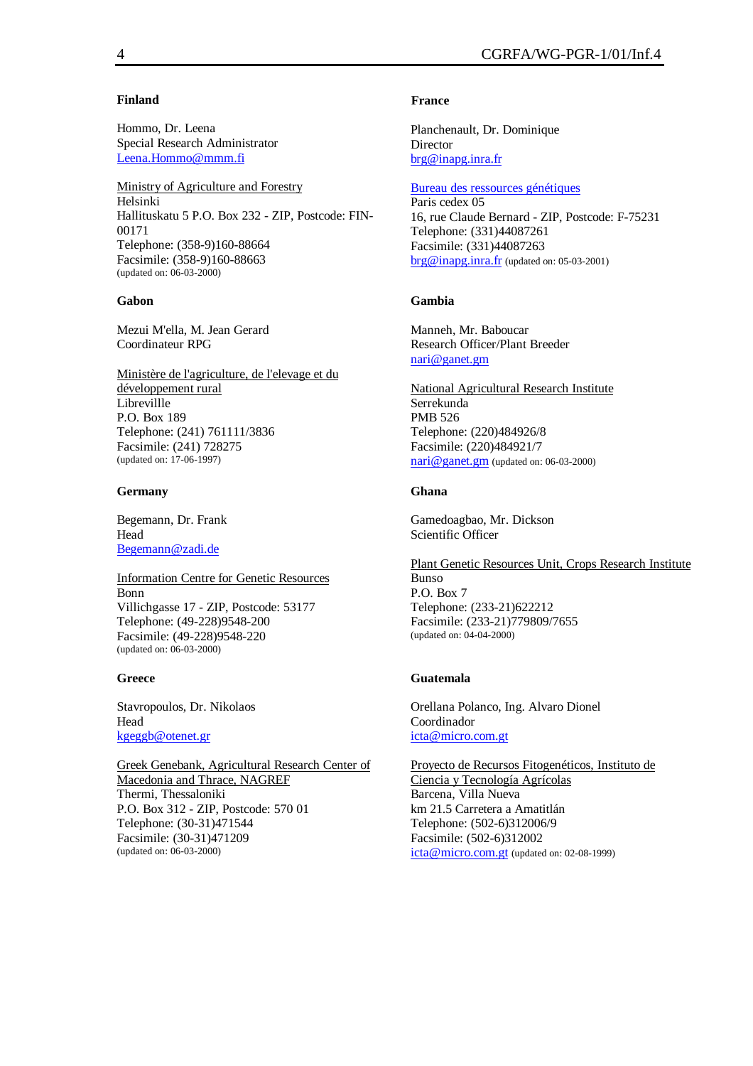## **Finland**

Hommo, Dr. Leena Special Research Administrator Leena.Hommo@mmm.fi

Ministry of Agriculture and Forestry Helsinki Hallituskatu 5 P.O. Box 232 - ZIP, Postcode: FIN-00171 Telephone: (358-9)160-88664 Facsimile: (358-9)160-88663 (updated on: 06-03-2000)

## **Gabon**

Mezui M'ella, M. Jean Gerard Coordinateur RPG

Ministère de l'agriculture, de l'elevage et du développement rural Librevillle P.O. Box 189 Telephone: (241) 761111/3836 Facsimile: (241) 728275 (updated on: 17-06-1997)

#### **Germany**

Begemann, Dr. Frank Head Begemann@zadi.de

Information Centre for Genetic Resources Bonn Villichgasse 17 - ZIP, Postcode: 53177 Telephone: (49-228)9548-200 Facsimile: (49-228)9548-220 (updated on: 06-03-2000)

# **Greece**

Stavropoulos, Dr. Nikolaos Head kgeggb@otenet.gr

Greek Genebank, Agricultural Research Center of Macedonia and Thrace, NAGREF Thermi, Thessaloniki P.O. Box 312 - ZIP, Postcode: 570 01 Telephone: (30-31)471544 Facsimile: (30-31)471209 (updated on: 06-03-2000)

# **France**

Planchenault, Dr. Dominique Director brg@inapg.inra.fr

Bureau des ressources génétiques Paris cedex 05 16, rue Claude Bernard - ZIP, Postcode: F-75231 Telephone: (331)44087261 Facsimile: (331)44087263 brg@inapg.inra.fr (updated on: 05-03-2001)

# **Gambia**

Manneh, Mr. Baboucar Research Officer/Plant Breeder nari@ganet.gm

National Agricultural Research Institute Serrekunda PMB 526 Telephone: (220)484926/8 Facsimile: (220)484921/7 nari@ganet.gm (updated on: 06-03-2000)

# **Ghana**

Gamedoagbao, Mr. Dickson Scientific Officer

Plant Genetic Resources Unit, Crops Research Institute Bunso P.O. Box 7 Telephone: (233-21)622212 Facsimile: (233-21)779809/7655 (updated on: 04-04-2000)

# **Guatemala**

Orellana Polanco, Ing. Alvaro Dionel Coordinador icta@micro.com.gt

Proyecto de Recursos Fitogenéticos, Instituto de Ciencia y Tecnología Agrícolas Barcena, Villa Nueva km 21.5 Carretera a Amatitlán Telephone: (502-6)312006/9 Facsimile: (502-6)312002 icta@micro.com.gt (updated on: 02-08-1999)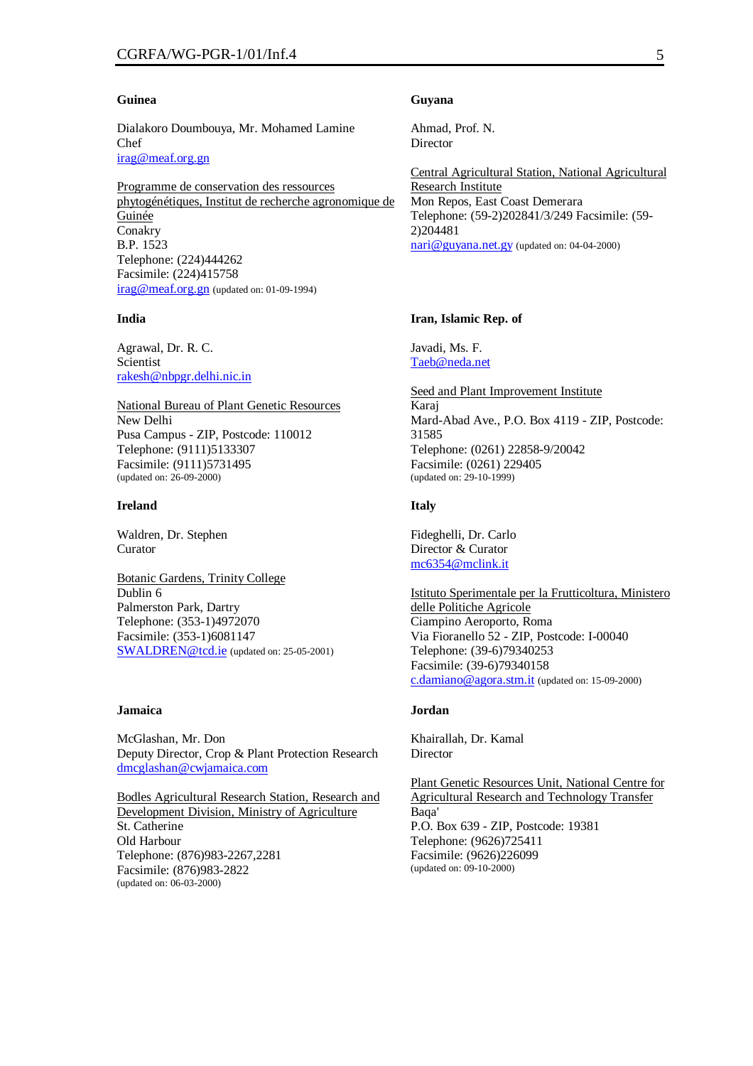#### **Guinea**

Dialakoro Doumbouya, Mr. Mohamed Lamine Chef irag@meaf.org.gn

Programme de conservation des ressources phytogénétiques, Institut de recherche agronomique de Guinée Conakry B.P. 1523 Telephone: (224)444262 Facsimile: (224)415758 irag@meaf.org.gn (updated on: 01-09-1994)

#### **India**

Agrawal, Dr. R. C. Scientist rakesh@nbpgr.delhi.nic.in

National Bureau of Plant Genetic Resources New Delhi Pusa Campus - ZIP, Postcode: 110012 Telephone: (9111)5133307 Facsimile: (9111)5731495 (updated on: 26-09-2000)

# **Ireland**

Waldren, Dr. Stephen Curator

Botanic Gardens, Trinity College Dublin 6 Palmerston Park, Dartry Telephone: (353-1)4972070 Facsimile: (353-1)6081147 SWALDREN@tcd.ie (updated on: 25-05-2001)

#### **Jamaica**

McGlashan, Mr. Don Deputy Director, Crop & Plant Protection Research dmcglashan@cwjamaica.com

Bodles Agricultural Research Station, Research and Development Division, Ministry of Agriculture St. Catherine Old Harbour Telephone: (876)983-2267,2281 Facsimile: (876)983-2822 (updated on: 06-03-2000)

#### **Guyana**

Ahmad, Prof. N. **Director** 

Central Agricultural Station, National Agricultural Research Institute Mon Repos, East Coast Demerara Telephone: (59-2)202841/3/249 Facsimile: (59- 2)204481 nari@guyana.net.gy (updated on: 04-04-2000)

#### **Iran, Islamic Rep. of**

Javadi, Ms. F. Taeb@neda.net

Seed and Plant Improvement Institute Karaj Mard-Abad Ave., P.O. Box 4119 - ZIP, Postcode: 31585 Telephone: (0261) 22858-9/20042 Facsimile: (0261) 229405 (updated on: 29-10-1999)

#### **Italy**

Fideghelli, Dr. Carlo Director & Curator mc6354@mclink.it

Istituto Sperimentale per la Frutticoltura, Ministero delle Politiche Agricole Ciampino Aeroporto, Roma Via Fioranello 52 - ZIP, Postcode: I-00040 Telephone: (39-6)79340253 Facsimile: (39-6)79340158 c.damiano@agora.stm.it (updated on: 15-09-2000)

#### **Jordan**

Khairallah, Dr. Kamal Director

Plant Genetic Resources Unit, National Centre for Agricultural Research and Technology Transfer Baqa' P.O. Box 639 - ZIP, Postcode: 19381 Telephone: (9626)725411 Facsimile: (9626)226099 (updated on: 09-10-2000)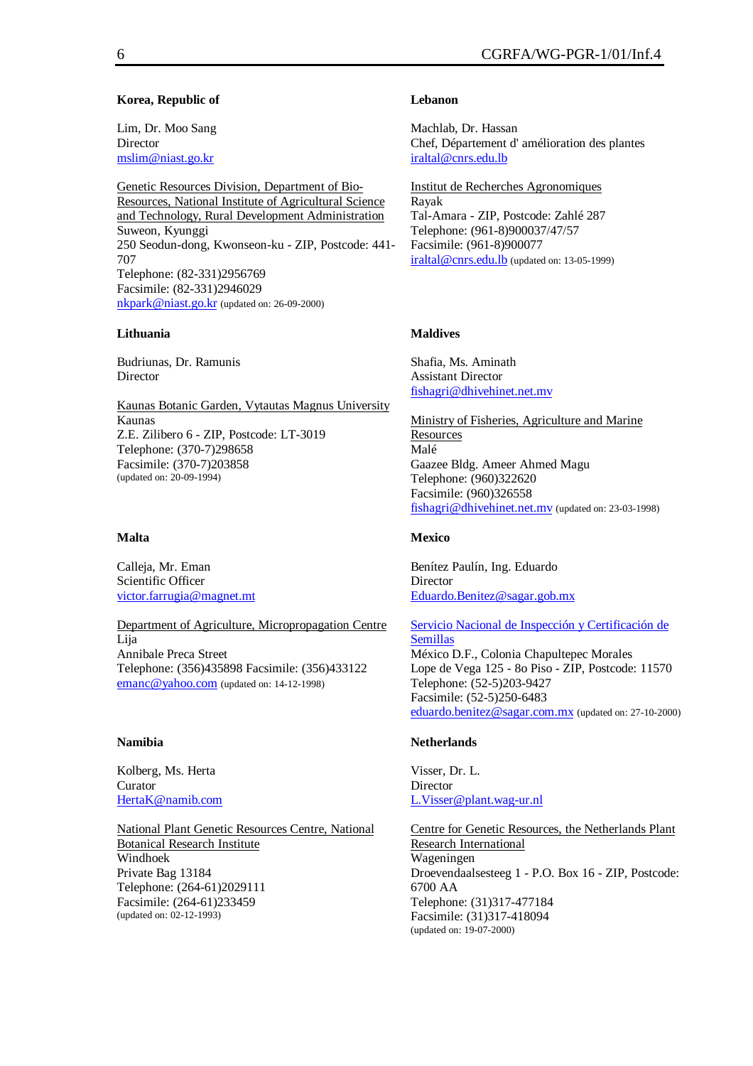# **Korea, Republic of**

Lim, Dr. Moo Sang **Director** mslim@niast.go.kr

Genetic Resources Division, Department of Bio-Resources, National Institute of Agricultural Science and Technology, Rural Development Administration Suweon, Kyunggi 250 Seodun-dong, Kwonseon-ku - ZIP, Postcode: 441- 707 Telephone: (82-331)2956769 Facsimile: (82-331)2946029 nkpark@niast.go.kr (updated on: 26-09-2000)

# **Lithuania**

Budriunas, Dr. Ramunis **Director** 

Kaunas Botanic Garden, Vytautas Magnus University Kaunas Z.E. Zilibero 6 - ZIP, Postcode: LT-3019 Telephone: (370-7)298658 Facsimile: (370-7)203858 (updated on: 20-09-1994)

# **Malta**

Calleja, Mr. Eman Scientific Officer victor.farrugia@magnet.mt

Department of Agriculture, Micropropagation Centre Lija Annibale Preca Street Telephone: (356)435898 Facsimile: (356)433122 emanc@yahoo.com (updated on: 14-12-1998)

# **Namibia**

Kolberg, Ms. Herta Curator HertaK@namib.com

National Plant Genetic Resources Centre, National Botanical Research Institute Windhoek Private Bag 13184 Telephone: (264-61)2029111 Facsimile: (264-61)233459 (updated on: 02-12-1993)

# **Lebanon**

Machlab, Dr. Hassan Chef, Département d' amélioration des plantes iraltal@cnrs.edu.lb

Institut de Recherches Agronomiques Rayak Tal-Amara - ZIP, Postcode: Zahlé 287 Telephone: (961-8)900037/47/57 Facsimile: (961-8)900077 iraltal@cnrs.edu.lb (updated on: 13-05-1999)

# **Maldives**

Shafia, Ms. Aminath Assistant Director fishagri@dhivehinet.net.mv

Ministry of Fisheries, Agriculture and Marine **Resources** Malé Gaazee Bldg. Ameer Ahmed Magu Telephone: (960)322620 Facsimile: (960)326558 fishagri@dhivehinet.net.mv (updated on: 23-03-1998)

# **Mexico**

Benítez Paulín, Ing. Eduardo Director Eduardo.Benitez@sagar.gob.mx

# Servicio Nacional de Inspección y Certificación de

**Semillas** México D.F., Colonia Chapultepec Morales Lope de Vega 125 - 8o Piso - ZIP, Postcode: 11570 Telephone: (52-5)203-9427 Facsimile: (52-5)250-6483 eduardo.benitez@sagar.com.mx (updated on: 27-10-2000)

# **Netherlands**

Visser, Dr. L. Director L.Visser@plant.wag-ur.nl

Centre for Genetic Resources, the Netherlands Plant Research International Wageningen Droevendaalsesteeg 1 - P.O. Box 16 - ZIP, Postcode: 6700 AA Telephone: (31)317-477184 Facsimile: (31)317-418094 (updated on: 19-07-2000)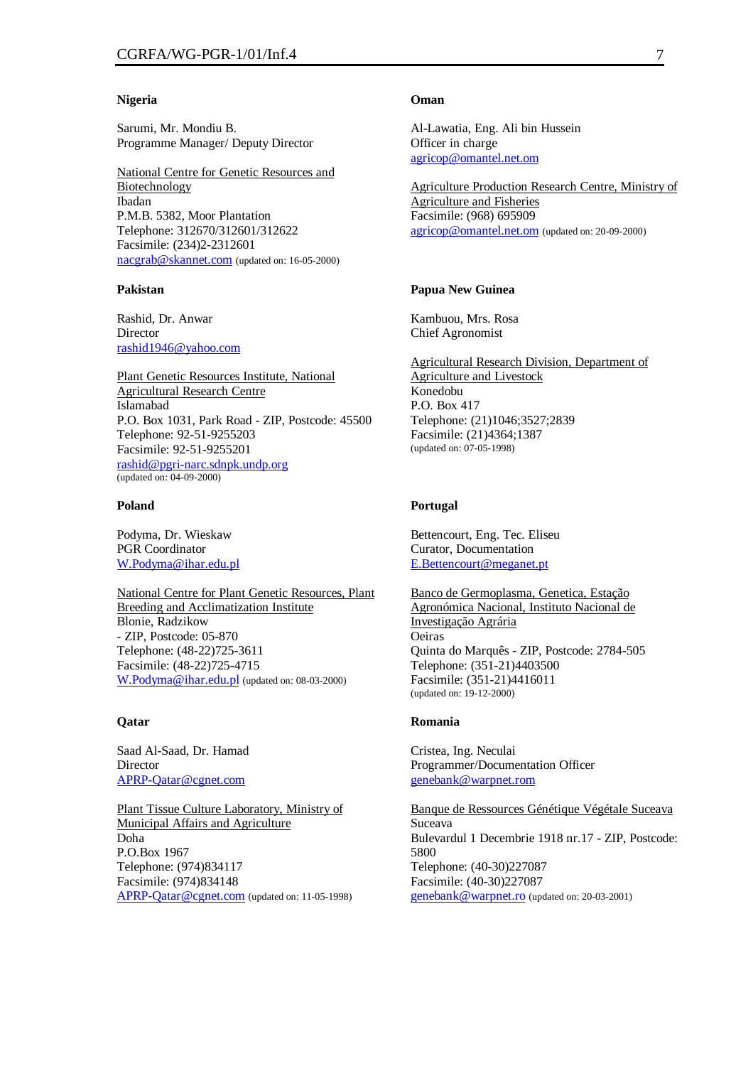#### **Nigeria**

Sarumi, Mr. Mondiu B. Programme Manager/ Deputy Director

National Centre for Genetic Resources and Biotechnology Ibadan P.M.B. 5382, Moor Plantation Telephone: 312670/312601/312622 Facsimile: (234)2-2312601 nacgrab@skannet.com (updated on: 16-05-2000)

#### **Pakistan**

Rashid, Dr. Anwar Director rashid1946@yahoo.com

Plant Genetic Resources Institute, National Agricultural Research Centre Islamabad P.O. Box 1031, Park Road - ZIP, Postcode: 45500 Telephone: 92-51-9255203 Facsimile: 92-51-9255201 rashid@pgri-narc.sdnpk.undp.org (updated on: 04-09-2000)

## **Poland**

Podyma, Dr. Wieskaw PGR Coordinator W.Podyma@ihar.edu.pl

National Centre for Plant Genetic Resources, Plant Breeding and Acclimatization Institute Blonie, Radzikow - ZIP, Postcode: 05-870 Telephone: (48-22)725-3611 Facsimile: (48-22)725-4715 W.Podyma@ihar.edu.pl (updated on: 08-03-2000)

#### **Qatar**

Saad Al-Saad, Dr. Hamad Director APRP-Qatar@cgnet.com

Plant Tissue Culture Laboratory, Ministry of Municipal Affairs and Agriculture Doha P.O.Box 1967 Telephone: (974)834117 Facsimile: (974)834148 APRP-Qatar@cgnet.com (updated on: 11-05-1998)

#### **Oman**

Al-Lawatia, Eng. Ali bin Hussein Officer in charge agricop@omantel.net.om

Agriculture Production Research Centre, Ministry of Agriculture and Fisheries Facsimile: (968) 695909 agricop@omantel.net.om (updated on: 20-09-2000)

#### **Papua New Guinea**

Kambuou, Mrs. Rosa Chief Agronomist

Agricultural Research Division, Department of Agriculture and Livestock Konedobu P.O. Box 417 Telephone: (21)1046;3527;2839 Facsimile: (21)4364;1387 (updated on: 07-05-1998)

#### **Portugal**

Bettencourt, Eng. Tec. Eliseu Curator, Documentation E.Bettencourt@meganet.pt

Banco de Germoplasma, Genetica, Estação Agronómica Nacional, Instituto Nacional de Investigação Agrária **Oeiras** Quinta do Marquês - ZIP, Postcode: 2784-505 Telephone: (351-21)4403500 Facsimile: (351-21)4416011 (updated on: 19-12-2000)

#### **Romania**

Cristea, Ing. Neculai Programmer/Documentation Officer genebank@warpnet.rom

Banque de Ressources Génétique Végétale Suceava Suceava Bulevardul 1 Decembrie 1918 nr.17 - ZIP, Postcode: 5800 Telephone: (40-30)227087 Facsimile: (40-30)227087 genebank@warpnet.ro (updated on: 20-03-2001)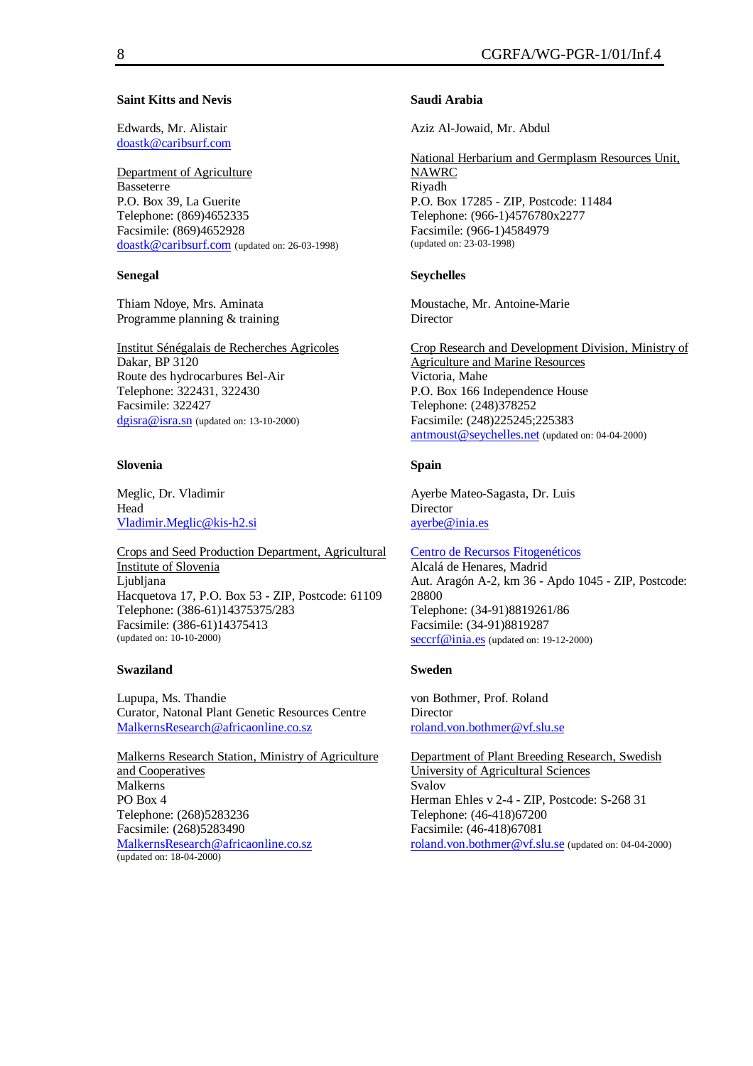#### **Saint Kitts and Nevis**

Edwards, Mr. Alistair doastk@caribsurf.com

Department of Agriculture Basseterre P.O. Box 39, La Guerite Telephone: (869)4652335 Facsimile: (869)4652928 doastk@caribsurf.com (updated on: 26-03-1998)

#### **Senegal**

Thiam Ndoye, Mrs. Aminata Programme planning & training

Institut Sénégalais de Recherches Agricoles Dakar, BP 3120 Route des hydrocarbures Bel-Air Telephone: 322431, 322430 Facsimile: 322427 dgisra@isra.sn (updated on: 13-10-2000)

#### **Slovenia**

Meglic, Dr. Vladimir Head Vladimir.Meglic@kis-h2.si

Crops and Seed Production Department, Agricultural Institute of Slovenia Ljubljana Hacquetova 17, P.O. Box 53 - ZIP, Postcode: 61109 Telephone: (386-61)14375375/283 Facsimile: (386-61)14375413 (updated on: 10-10-2000)

#### **Swaziland**

Lupupa, Ms. Thandie Curator, Natonal Plant Genetic Resources Centre MalkernsResearch@africaonline.co.sz

Malkerns Research Station, Ministry of Agriculture and Cooperatives Malkerns PO Box 4 Telephone: (268)5283236 Facsimile: (268)5283490 MalkernsResearch@africaonline.co.sz (updated on: 18-04-2000)

## **Saudi Arabia**

Aziz Al-Jowaid, Mr. Abdul

National Herbarium and Germplasm Resources Unit, NAWRC Riyadh P.O. Box 17285 - ZIP, Postcode: 11484 Telephone: (966-1)4576780x2277 Facsimile: (966-1)4584979 (updated on: 23-03-1998)

#### **Seychelles**

Moustache, Mr. Antoine-Marie **Director** 

Crop Research and Development Division, Ministry of Agriculture and Marine Resources Victoria, Mahe P.O. Box 166 Independence House Telephone: (248)378252 Facsimile: (248)225245;225383 antmoust@seychelles.net (updated on: 04-04-2000)

#### **Spain**

Ayerbe Mateo-Sagasta, Dr. Luis Director ayerbe@inia.es

Centro de Recursos Fitogenéticos Alcalá de Henares, Madrid Aut. Aragón A-2, km 36 - Apdo 1045 - ZIP, Postcode: 28800 Telephone: (34-91)8819261/86 Facsimile: (34-91)8819287 seccrf@inia.es (updated on: 19-12-2000)

#### **Sweden**

von Bothmer, Prof. Roland Director roland.von.bothmer@vf.slu.se

Department of Plant Breeding Research, Swedish University of Agricultural Sciences Svalov Herman Ehles v 2-4 - ZIP, Postcode: S-268 31 Telephone: (46-418)67200 Facsimile: (46-418)67081 roland.von.bothmer@vf.slu.se (updated on: 04-04-2000)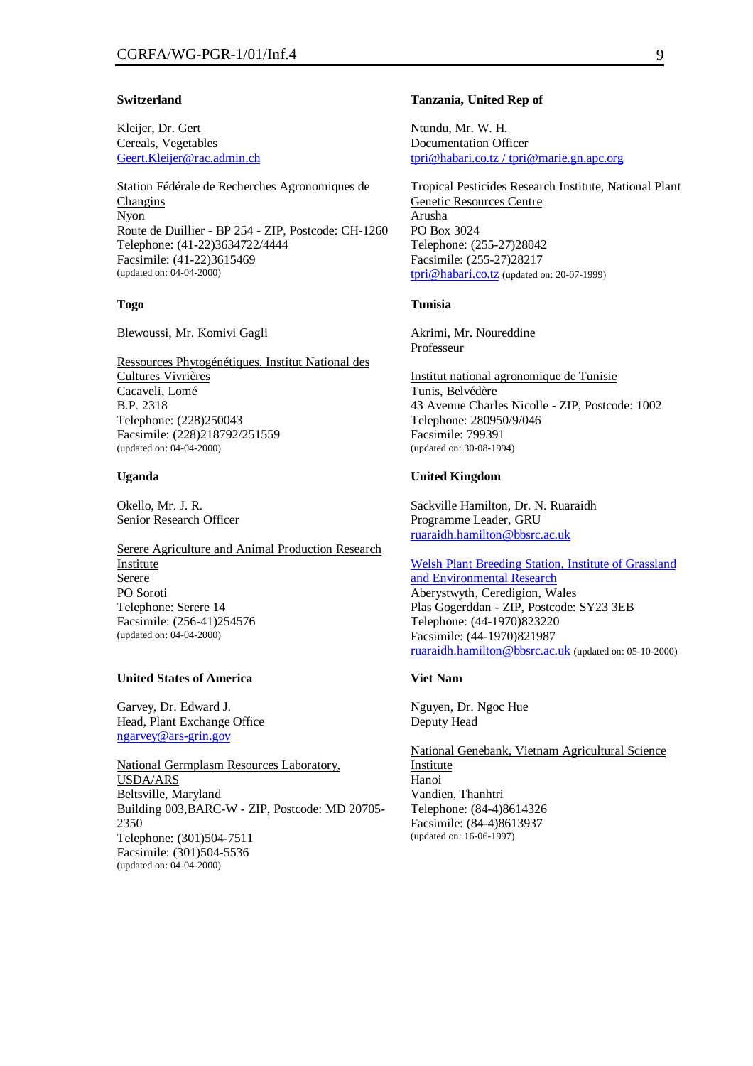#### **Switzerland**

Kleijer, Dr. Gert Cereals, Vegetables Geert.Kleijer@rac.admin.ch

Station Fédérale de Recherches Agronomiques de Changins Nyon Route de Duillier - BP 254 - ZIP, Postcode: CH-1260 Telephone: (41-22)3634722/4444 Facsimile: (41-22)3615469 (updated on: 04-04-2000)

#### **Togo**

Blewoussi, Mr. Komivi Gagli

Ressources Phytogénétiques, Institut National des Cultures Vivrières Cacaveli, Lomé B.P. 2318 Telephone: (228)250043 Facsimile: (228)218792/251559 (updated on: 04-04-2000)

#### **Uganda**

Okello, Mr. J. R. Senior Research Officer

Serere Agriculture and Animal Production Research Institute Serere PO Soroti Telephone: Serere 14 Facsimile: (256-41)254576 (updated on: 04-04-2000)

#### **United States of America**

Garvey, Dr. Edward J. Head, Plant Exchange Office ngarvey@ars-grin.gov

National Germplasm Resources Laboratory, USDA/ARS Beltsville, Maryland Building 003,BARC-W - ZIP, Postcode: MD 20705- 2350 Telephone: (301)504-7511 Facsimile: (301)504-5536 (updated on: 04-04-2000)

#### **Tanzania, United Rep of**

Ntundu, Mr. W. H. Documentation Officer tpri@habari.co.tz / tpri@marie.gn.apc.org

Tropical Pesticides Research Institute, National Plant Genetic Resources Centre Arusha PO Box 3024 Telephone: (255-27)28042 Facsimile: (255-27)28217 tpri@habari.co.tz (updated on: 20-07-1999)

#### **Tunisia**

Akrimi, Mr. Noureddine Professeur

Institut national agronomique de Tunisie Tunis, Belvédère 43 Avenue Charles Nicolle - ZIP, Postcode: 1002 Telephone: 280950/9/046 Facsimile: 799391 (updated on: 30-08-1994)

# **United Kingdom**

Sackville Hamilton, Dr. N. Ruaraidh Programme Leader, GRU ruaraidh.hamilton@bbsrc.ac.uk

Welsh Plant Breeding Station, Institute of Grassland and Environmental Research

Aberystwyth, Ceredigion, Wales Plas Gogerddan - ZIP, Postcode: SY23 3EB Telephone: (44-1970)823220 Facsimile: (44-1970)821987 ruaraidh.hamilton@bbsrc.ac.uk (updated on: 05-10-2000)

#### **Viet Nam**

Nguyen, Dr. Ngoc Hue Deputy Head

National Genebank, Vietnam Agricultural Science **Institute** Hanoi Vandien, Thanhtri Telephone: (84-4)8614326 Facsimile: (84-4)8613937 (updated on: 16-06-1997)